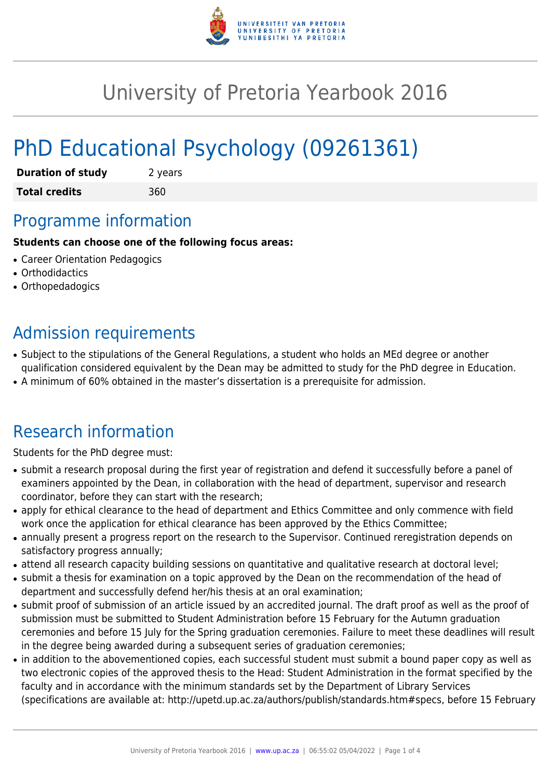

# University of Pretoria Yearbook 2016

# PhD Educational Psychology (09261361)

| <b>Duration of study</b> | 2 years |
|--------------------------|---------|
| <b>Total credits</b>     | 360     |

## Programme information

#### **Students can choose one of the following focus areas:**

- Career Orientation Pedagogics
- Orthodidactics
- Orthopedadogics

# Admission requirements

- Subject to the stipulations of the General Regulations, a student who holds an MEd degree or another qualification considered equivalent by the Dean may be admitted to study for the PhD degree in Education.
- A minimum of 60% obtained in the master's dissertation is a prerequisite for admission.

## Research information

Students for the PhD degree must:

- submit a research proposal during the first year of registration and defend it successfully before a panel of examiners appointed by the Dean, in collaboration with the head of department, supervisor and research coordinator, before they can start with the research;
- apply for ethical clearance to the head of department and Ethics Committee and only commence with field work once the application for ethical clearance has been approved by the Ethics Committee;
- annually present a progress report on the research to the Supervisor. Continued reregistration depends on satisfactory progress annually;
- attend all research capacity building sessions on quantitative and qualitative research at doctoral level;
- submit a thesis for examination on a topic approved by the Dean on the recommendation of the head of department and successfully defend her/his thesis at an oral examination;
- submit proof of submission of an article issued by an accredited journal. The draft proof as well as the proof of submission must be submitted to Student Administration before 15 February for the Autumn graduation ceremonies and before 15 July for the Spring graduation ceremonies. Failure to meet these deadlines will result in the degree being awarded during a subsequent series of graduation ceremonies;
- in addition to the abovementioned copies, each successful student must submit a bound paper copy as well as two electronic copies of the approved thesis to the Head: Student Administration in the format specified by the faculty and in accordance with the minimum standards set by the Department of Library Services (specifications are available at: http://upetd.up.ac.za/authors/publish/standards.htm#specs, before 15 February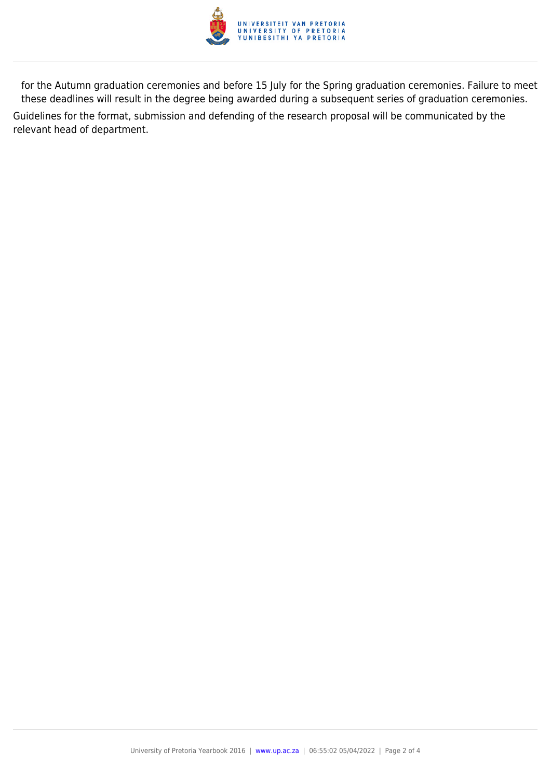

for the Autumn graduation ceremonies and before 15 July for the Spring graduation ceremonies. Failure to meet these deadlines will result in the degree being awarded during a subsequent series of graduation ceremonies. Guidelines for the format, submission and defending of the research proposal will be communicated by the relevant head of department.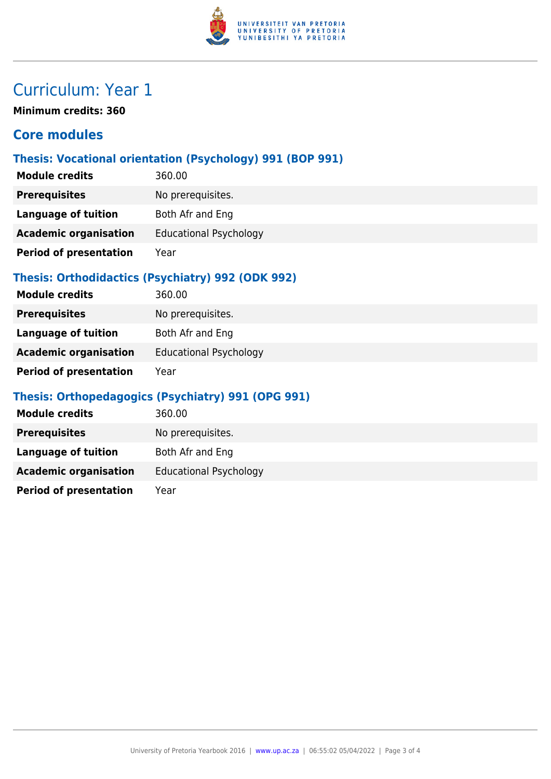

# Curriculum: Year 1

**Minimum credits: 360**

### **Core modules**

### **Thesis: Vocational orientation (Psychology) 991 (BOP 991)**

| <b>Module credits</b>         | 360.00                        |
|-------------------------------|-------------------------------|
| <b>Prerequisites</b>          | No prerequisites.             |
| <b>Language of tuition</b>    | Both Afr and Eng              |
| <b>Academic organisation</b>  | <b>Educational Psychology</b> |
| <b>Period of presentation</b> | Year                          |

#### **Thesis: Orthodidactics (Psychiatry) 992 (ODK 992)**

| <b>Module credits</b>         | 360.00                        |
|-------------------------------|-------------------------------|
| <b>Prerequisites</b>          | No prerequisites.             |
| Language of tuition           | Both Afr and Eng              |
| <b>Academic organisation</b>  | <b>Educational Psychology</b> |
| <b>Period of presentation</b> | Year                          |

### **Thesis: Orthopedagogics (Psychiatry) 991 (OPG 991)**

| <b>Module credits</b>         | 360.00                        |
|-------------------------------|-------------------------------|
| <b>Prerequisites</b>          | No prerequisites.             |
| Language of tuition           | Both Afr and Eng              |
| <b>Academic organisation</b>  | <b>Educational Psychology</b> |
| <b>Period of presentation</b> | Year                          |